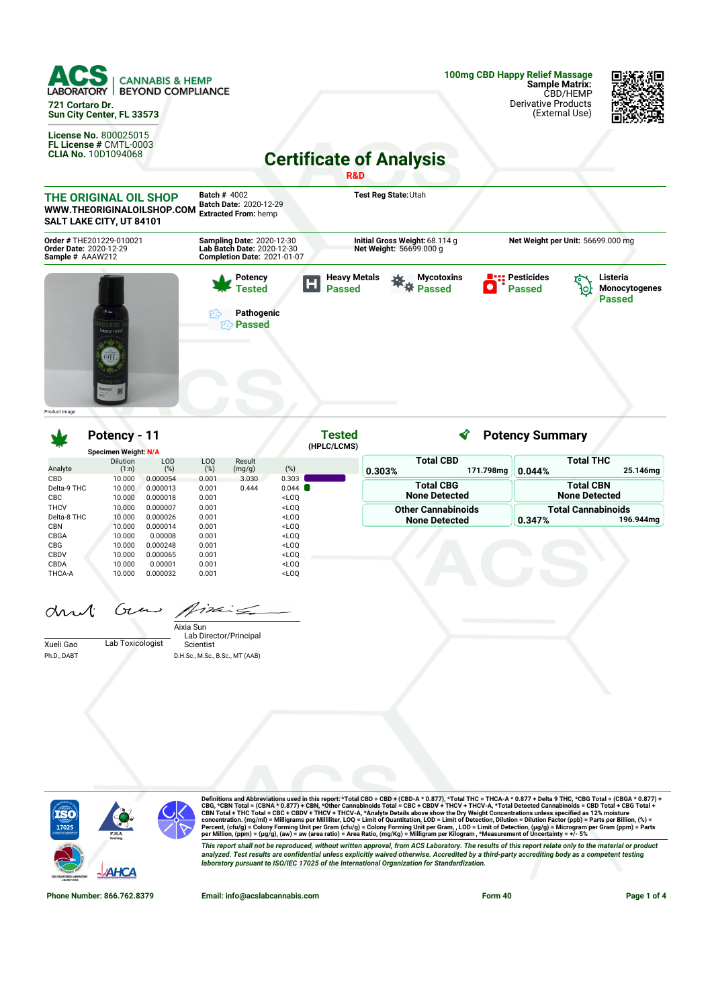

**SALT LAKE CITY, UT 84101 Net Weight per Unit:** 56699.000 mg **Order #** THE201229-010021 **Order Date:** 2020-12-29 **Sample #** AAAW212 **Sampling Date:** 2020-12-30 **Lab Batch Date:** 2020-12-30 **Initial Gross Weight:**68.114 g **Net Weight:** 56699.000 g **Completion Date:** 2021-01-07 **Pesticides Potency Heavy Metals 茶**茶 Passed **Mycotoxins Listeria** Ы **Tested Passed** ٠ **Passed Monocytogenes** ło, **Passed Pathogenic Passed** Product Image

**Tested** ∢ **Potency Summary Potency - 11 (HPLC/LCMS) Specimen Weight: N/A Total CBD Total THC** Dilution LOD Result LOQ (%) Analyte  $(1:n)$  $(%)$  $(mg/g)$  (%) **0.303% 171.798mg 0.044% 25.146mg** CBD 10.000 0.000054 0.001 3.030 0.303<br>
Delta-9 THC 10.000 0.000013 0.001 0.444 0.044 **Total CBG Total CBN** Delta-9 THC 10.000 0.000013 0.001 0.444 0.044 **None Detected None Detected** CBC 10.000 0.000018 0.001 <LOQ<br>THCV 10.000 0.000007 0.001 <LOO  $10.000$   $0.000007$   $0.001$   $\leq$   $\text{LOQ}$ <br> $10.000$   $0.000026$   $0.001$   $\leq$   $\text{LOQ}$ **Other Cannabinoids Total Cannabinoids** Delta-8 THC **None Detected 0.347% 196.944mg** CBN 10.000 0.000014 0.001 <LOQ CBGA 10.000 0.00008 0.001 <LOQ CBG 10.000 0.000248 0.001 <LOQ<br>CBDV 10.000 0.000065 0.001 <LOQ 10.000 0.000065<br>10.000 0.00001 CBDA 10.000 0.00001 0.001 <LOQ<br>THCA-A 10.000 0.000032 0.001 <LOQ THCA-A 10.000 0.000032 0.001 <LOQ

Guns Aixing drul:

|             |                  | Aixia Sun                       |
|-------------|------------------|---------------------------------|
|             |                  | Lab Director/Principal          |
| Xueli Gao   | Lab Toxicologist | Scientist                       |
| Ph.D., DABT |                  | D.H.Sc., M.Sc., B.Sc., MT (AAB) |



Definitions and Abbreviations used in this report: \*Total CBD = CBD + (CBD-A \* 0.877), \*Total THC = THCA-A \* 0.877 + Delta 9 THC, \*CBG Total = (CBGA \* 0.877) +<br>CBG, \*CBN Total = (CBNA \* 0.877) + CBN, \*Other Cannabinois To This report shall not be reproduced, without written approval, from ACS Laboratory. The results of this report relate only to the material or product<br>analyzed. Test results are confidential unless explicitly waived otherwi *laboratory pursuant to ISO/IEC 17025 of the International Organization for Standardization.*

**Phone Number: 866.762.8379 Email: info@acslabcannabis.com Form 40 Page 1 of 4**

杀阳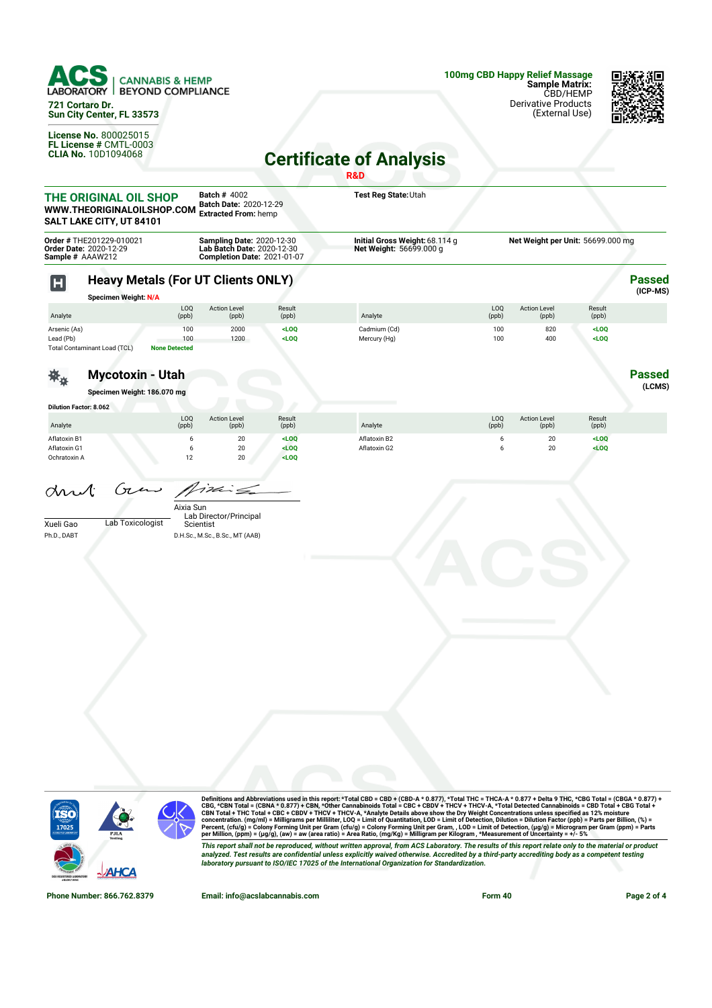

**721 Cortaro Dr. Sun City Center, FL 33573**

**License No.** 800025015 **FL License #** CMTL-0003 **CLIA No.** 10D1094068



## **Certificate of Analysis**

|                                              |                                                                                 |                                    |                                                                                               |                   | R&D                                                       |                       |                              |                                   |                           |
|----------------------------------------------|---------------------------------------------------------------------------------|------------------------------------|-----------------------------------------------------------------------------------------------|-------------------|-----------------------------------------------------------|-----------------------|------------------------------|-----------------------------------|---------------------------|
|                                              | THE ORIGINAL OIL SHOP<br>WWW.THEORIGINALOILSHOP.COM<br>SALT LAKE CITY, UT 84101 |                                    | <b>Batch # 4002</b><br>Batch Date: 2020-12-29<br><b>Extracted From: hemp</b>                  |                   | Test Reg State: Utah                                      |                       |                              |                                   |                           |
| Sample # AAAW212                             | Order # THE201229-010021<br>Order Date: 2020-12-29                              |                                    | Sampling Date: 2020-12-30<br>Lab Batch Date: 2020-12-30<br><b>Completion Date: 2021-01-07</b> |                   | Initial Gross Weight: 68.114 g<br>Net Weight: 56699.000 g |                       |                              | Net Weight per Unit: 56699.000 mg |                           |
| $\mathbf H$                                  | <b>Heavy Metals (For UT Clients ONLY)</b><br><b>Specimen Weight: N/A</b>        |                                    |                                                                                               |                   |                                                           |                       |                              |                                   | <b>Passed</b><br>(ICP-MS) |
| Analyte                                      |                                                                                 | LOQ<br>(ppb)                       | <b>Action Level</b><br>(ppb)                                                                  | Result<br>(ppb)   | Analyte                                                   | LOQ<br>(ppb)          | <b>Action Level</b><br>(ppb) | Result<br>(ppb)                   |                           |
| Arsenic (As)<br>Lead (Pb)                    | <b>Total Contaminant Load (TCL)</b>                                             | 100<br>100<br><b>None Detected</b> | 2000<br>1200                                                                                  | LOO<br>$<$ LOQ    | Cadmium (Cd)<br>Mercury (Hg)                              | 100<br>100            | 820<br>400                   | $<$ LOQ<br>$<$ LOQ                |                           |
|                                              | <b>Mycotoxin - Utah</b><br>Specimen Weight: 186.070 mg                          |                                    |                                                                                               |                   |                                                           |                       |                              |                                   | <b>Passed</b><br>(LCMS)   |
| <b>Dilution Factor: 8.062</b>                |                                                                                 |                                    |                                                                                               |                   |                                                           |                       |                              |                                   |                           |
| Analyte                                      |                                                                                 | LOQ<br>(ppb)                       | <b>Action Level</b><br>(ppb)                                                                  | Result<br>(ppb)   | Analyte                                                   | LOQ<br>(ppb)          | <b>Action Level</b><br>(ppb) | Result<br>(ppb)                   |                           |
| Aflatoxin B1<br>Aflatoxin G1<br>Ochratoxin A |                                                                                 | 6<br>6<br>12                       | 20<br>$20\,$<br>$20\,$                                                                        | LOO<br>LOO<br>LOO | Aflatoxin B2<br>Aflatoxin G2                              | 6<br>$\boldsymbol{6}$ | 20<br>20                     | $<$ LOQ<br>LOO                    |                           |
| drut                                         | Gun                                                                             | Aixia Sun                          | $24\epsilon$ $\leq$<br>Lab Director/Principal                                                 |                   |                                                           |                       |                              |                                   |                           |
| Xueli Gao<br>Ph.D., DABT                     | Lab Toxicologist                                                                | Scientist                          | D.H.Sc., M.Sc., B.Sc., MT (AAB)                                                               |                   |                                                           |                       |                              |                                   |                           |
|                                              |                                                                                 |                                    |                                                                                               |                   |                                                           |                       |                              |                                   |                           |
|                                              |                                                                                 |                                    |                                                                                               |                   |                                                           |                       |                              |                                   |                           |
|                                              |                                                                                 |                                    |                                                                                               |                   |                                                           |                       |                              |                                   |                           |
|                                              |                                                                                 |                                    |                                                                                               |                   |                                                           |                       |                              |                                   |                           |
|                                              |                                                                                 |                                    |                                                                                               |                   |                                                           |                       |                              |                                   |                           |



Definitions and Abbreviations used in this report: \*Total CBD = CBD + (CBD-A \* 0.877), \*Total THC = THCA-A \* 0.877 + Delta 9 THC, \*CBG Total = (CBGA \* 0.877) +<br>CBG, \*CBN Total = (CBNA \* 0.877) + CBN, \*Other Cannabinois To This report shall not be reproduced, without written approval, from ACS Laboratory. The results of this report relate only to the material or product<br>analyzed. Test results are confidential unless explicitly waived otherwi

**Phone Number: 866.762.8379 Email: info@acslabcannabis.com Form 40 Page 2 of 4**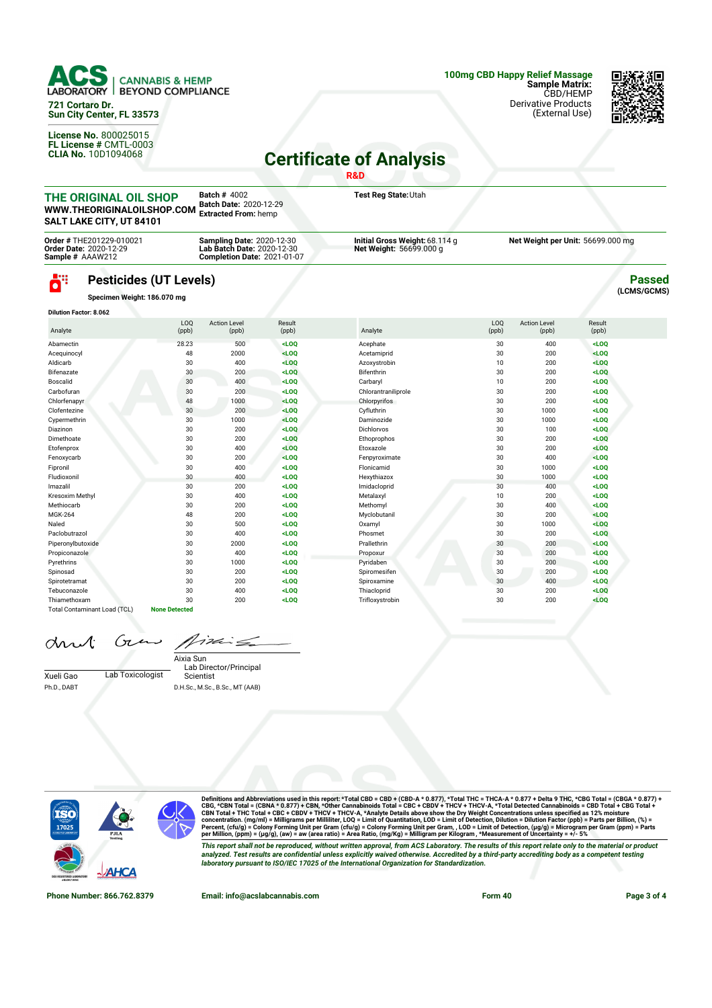

**721 Cortaro Dr. Sun City Center, FL 33573**

**License No.** 800025015 **FL License #** CMTL-0003 **CLIA No.** 10D1094068 **100mg CBD Happy Relief Massage Sample Matrix:** CBD/HEMP Derivative Products

(External Use)



## **Certificate of Analysis**

|                                                                                 |                                                              |                                                                                                      |                 | R&D                                                       |                         |                                   |                 |                              |  |
|---------------------------------------------------------------------------------|--------------------------------------------------------------|------------------------------------------------------------------------------------------------------|-----------------|-----------------------------------------------------------|-------------------------|-----------------------------------|-----------------|------------------------------|--|
| THE ORIGINAL OIL SHOP<br>WWW.THEORIGINALOILSHOP.COM<br>SALT LAKE CITY, UT 84101 |                                                              | <b>Batch # 4002</b><br>Batch Date: 2020-12-29<br><b>Extracted From: hemp</b>                         |                 | Test Reg State: Utah                                      |                         |                                   |                 |                              |  |
| Order # THE201229-010021<br><b>Order Date: 2020-12-29</b><br>Sample # AAAW212   |                                                              | <b>Sampling Date: 2020-12-30</b><br>Lab Batch Date: 2020-12-30<br><b>Completion Date: 2021-01-07</b> |                 | Initial Gross Weight: 68.114 g<br>Net Weight: 56699.000 g |                         | Net Weight per Unit: 56699.000 mg |                 |                              |  |
| ö۳                                                                              | <b>Pesticides (UT Levels)</b><br>Specimen Weight: 186.070 mg |                                                                                                      |                 |                                                           |                         |                                   |                 | <b>Passed</b><br>(LCMS/GCMS) |  |
| <b>Dilution Factor: 8.062</b>                                                   |                                                              |                                                                                                      |                 |                                                           |                         |                                   |                 |                              |  |
| Analyte                                                                         | L <sub>00</sub><br>(ppb)                                     | <b>Action Level</b><br>(ppb)                                                                         | Result<br>(ppb) | Analyte                                                   | L <sub>0</sub><br>(ppb) | <b>Action Level</b><br>(ppb)      | Result<br>(ppb) |                              |  |
| Abamectin                                                                       | 28.23                                                        | 500                                                                                                  | $<$ LOQ         | Acephate                                                  | 30                      | 400                               | $<$ LOQ         |                              |  |
| Acequinocyl                                                                     | 48                                                           | 2000                                                                                                 | $<$ LOO         | Acetamiprid                                               | 30                      | 200                               | $<$ LOO         |                              |  |
| Aldicarb                                                                        | 30                                                           | 400                                                                                                  | $<$ LOQ         | Azoxystrobin                                              | 10                      | 200                               | LOO             |                              |  |
| Bifenazate                                                                      | 30                                                           | 200                                                                                                  | $<$ LOO         | Bifenthrin                                                | 30                      | 200                               | $<$ LOQ         |                              |  |
| Boscalid                                                                        | 30                                                           | 400                                                                                                  | $<$ LOQ         | Carbaryl                                                  | 10                      | 200                               | $<$ LOQ         |                              |  |
| Carbofuran                                                                      | 30                                                           | 200                                                                                                  | $<$ LOQ         | Chlorantraniliprole                                       | 30                      | 200                               | $<$ LOQ         |                              |  |
| Chlorfenapyr                                                                    | 48                                                           | 1000                                                                                                 | $<$ LOQ         | Chlorpyrifos                                              | 30                      | 200                               | $<$ LOO         |                              |  |
| Clofentezine                                                                    | 30                                                           | 200                                                                                                  | $<$ LOQ         | Cyfluthrin                                                | 30                      | 1000                              | $<$ LOQ         |                              |  |
| Cypermethrin                                                                    | 30                                                           | 1000                                                                                                 | $<$ LOO         | Daminozide                                                | 30                      | 1000                              | $<$ LOO         |                              |  |
| Diazinon                                                                        | 30                                                           | 200                                                                                                  | LOO             | <b>Dichlorvos</b>                                         | 30                      | 100                               | $<$ LOQ         |                              |  |
| Dimethoate                                                                      | 30                                                           | 200                                                                                                  | $<$ LOQ         | Ethoprophos                                               | 30                      | 200                               | $<$ LOQ         |                              |  |
| Etofenprox                                                                      | 30                                                           | 400                                                                                                  | $<$ LOQ         | Etoxazole                                                 | 30                      | 200                               | $<$ LOQ         |                              |  |
| Fenoxycarb                                                                      | 30                                                           | 200                                                                                                  | $<$ LOO         | Fenpyroximate                                             | 30                      | 400                               | $<$ LOO         |                              |  |
| Fipronil                                                                        | 30                                                           | 400                                                                                                  | $<$ LOQ         | Flonicamid                                                | 30                      | 1000                              | $<$ LOQ         |                              |  |
| Fludioxonil                                                                     | 30                                                           | 400                                                                                                  | $<$ LOO         | Hexythiazox                                               | 30                      | 1000                              | $<$ LOO         |                              |  |
| Imazalil                                                                        | 30                                                           | 200                                                                                                  | $<$ LOO         | Imidacloprid                                              | 30                      | 400                               | $<$ LOO         |                              |  |

Kresoxim Methyl 30 400 **<LOQ** Metalaxyl 10 200 **<LOQ** Methiocarb 30 200 **<LOQ** Methomyl 30 400 **<LOQ** MGK-264 48 200 **<LOQ** Myclobutanil 30 200 **<LOQ** Naled 30 500 **<LOQ** Oxamyl 30 1000 **<LOQ** Paclobutrazol 30 400 **<LOQ** Phosmet 30 200 **<LOQ** Piperonylbutoxide 30 2000 **<LOQ** Prallethrin 30 200 **<LOQ** Propiconazole 30 400 **<LOQ** Propoxur 30 200 **<LOQ** Pyrethrins 30 1000 **<LOQ** Pyridaben 30 200 **<LOQ** Spinosad 30 200 **<LOQ** Spiromesifen 30 200 **<LOQ** Spirotetramat 30 200 **<LOQ** Spiroxamine 30 400 **<LOQ** Tebuconazole 30 400 **<LOQ** Thiacloprid 30 200 **<LOQ** Thiamethoxam 30 200 **<LOQ** Trifloxystrobin 30 200 **<LOQ**

Ġτ drut

Total Contaminant Load (TCL) **None Detected**

17de  $\epsilon$ 

Xueli Gao Lab Toxicologist Ph.D., DABT

Lab Director/Principal Scientist Aixia Sun D.H.Sc., M.Sc., B.Sc., MT (AAB)



Definitions and Abbreviations used in this report: \*Total CBD = CBD + (CBD-A \* 0.877), \*Total THC = THCA-A \* 0.877 + Delta 9 THC, \*CBG Total = (CBGA \* 0.877) +<br>CBG, \*CBN Total = (CBNA \* 0.877) + CBN, \*Other Cannabinois To This report shall not be reproduced, without written approval, from ACS Laboratory. The results of this report relate only to the material or product<br>analyzed. Test results are confidential unless explicitly waived otherwi *laboratory pursuant to ISO/IEC 17025 of the International Organization for Standardization.*

**Phone Number: 866.762.8379 Email: info@acslabcannabis.com Form 40 Page 3 of 4**